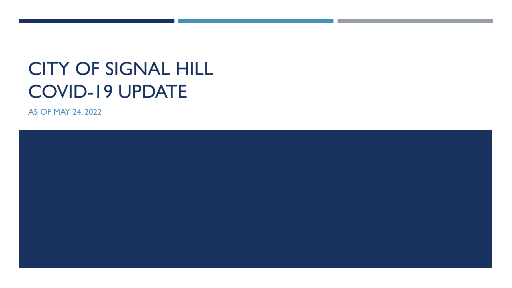## CITY OF SIGNAL HILL COVID-19 UPDATE

AS OF MAY 24, 2022

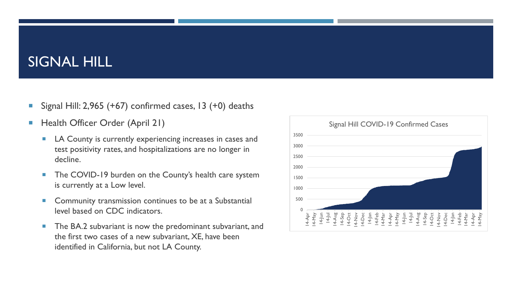#### SIGNAL HILL

- Signal Hill:  $2,965$  (+67) confirmed cases, 13 (+0) deaths
- **Health Officer Order (April 21)** 
	- **LA County is currently experiencing increases in cases and** test positivity rates, and hospitalizations are no longer in decline.
	- **The COVID-19 burden on the County's health care system** is currently at a Low level.
	- **Community transmission continues to be at a Substantial** level based on CDC indicators.
	- The BA.2 subvariant is now the predominant subvariant, and the first two cases of a new subvariant, XE, have been identified in California, but not LA County.

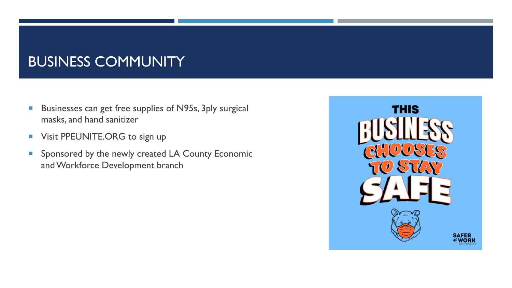## BUSINESS COMMUNITY

- **Businesses can get free supplies of N95s, 3ply surgical** masks, and hand sanitizer
- **Visit PPEUNITE.ORG to sign up**
- **Sponsored by the newly created LA County Economic** and Workforce Development branch

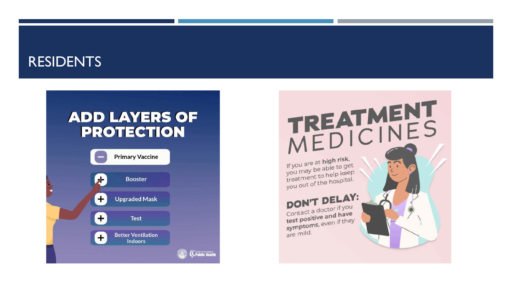#### RESIDENTS

#### **ADD LAYERS OF PROTECTION**

| <b>Primary Vaccine</b>                      |  |
|---------------------------------------------|--|
| <b>Booster</b>                              |  |
| <b>Upgraded Mask</b>                        |  |
| ŧ<br><b>Test</b>                            |  |
| <b>Better Ventilation</b><br><b>Indoors</b> |  |
|                                             |  |

# TREATMENT<br>MEDICINES

If you are at **high risk**, If you are at **night**<br>you may be able to get<br>you meant to help keep you may be able to be you may be able to be gone. treatment to help in the treatment of the hospital.

#### DON'T DELAY: Contact a doctor if you Contact a doctor in y test positive and they<br>symptoms, even if they are mild.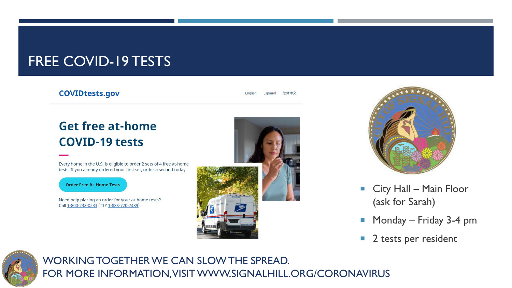#### FREE COVID-19 TESTS

#### **COVIDtests.gov**

#### **Get free at-home COVID-19 tests**

Every home in the U.S. is eligible to order 2 sets of 4 free at-home tests. If you already ordered your first set, order a second today.

**Order Free At-Home Tests** 

Need help placing an order for your at-home tests? Call 1-800-232-0233 (TTY 1-888-720-7489).





- **City Hall Main Floor** (ask for Sarah)
- **Monday Friday 3-4 pm**
- **2** tests per resident



WORKING TOGETHER WE CAN SLOW THE SPREAD. FOR MORE INFORMATION, VISIT WWW.SIGNALHILL.ORG/CORONAVIRUS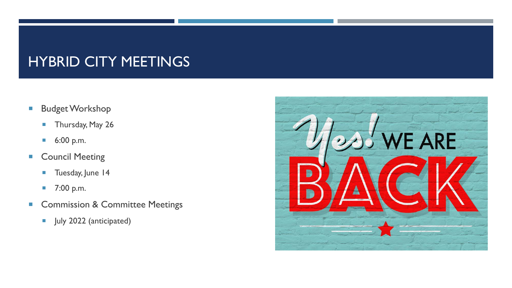## HYBRID CITY MEETINGS

- **Budget Workshop** 
	- **Thursday, May 26**
	- 6:00 p.m.
- **Council Meeting** 
	- **Tuesday, June 14**
	- 7:00 p.m.
- **Commission & Committee Meetings** 
	- **July 2022 (anticipated)**